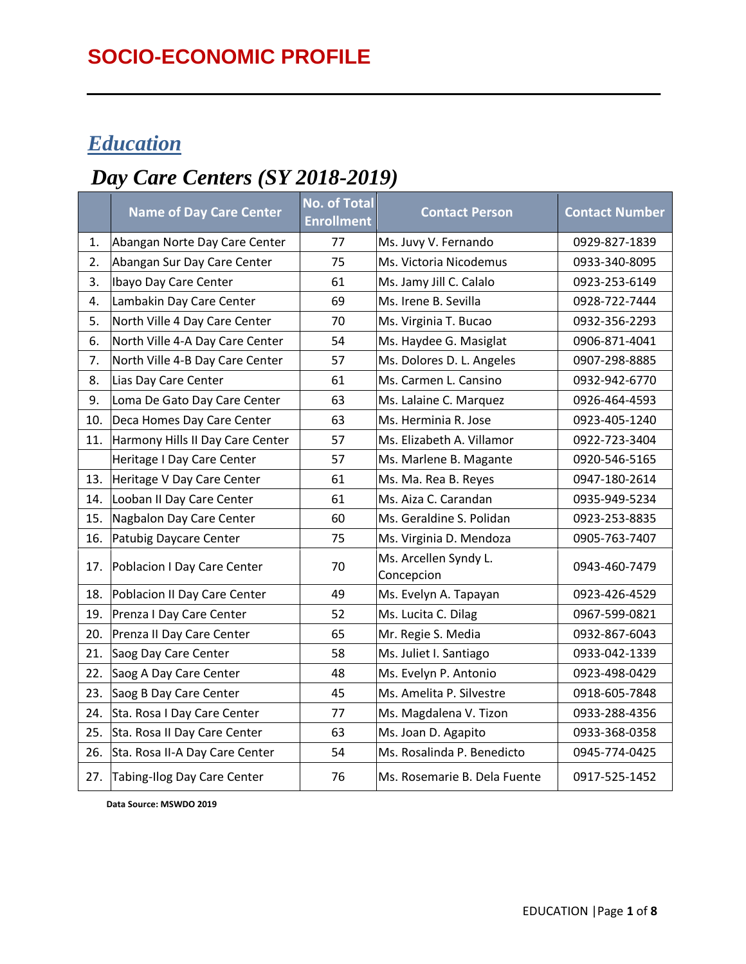### *Education*

### *Day Care Centers (SY 2018-2019)*

|     | <b>Name of Day Care Center</b>   | <b>No. of Total</b><br><b>Enrollment</b> | <b>Contact Person</b>               | <b>Contact Number</b> |
|-----|----------------------------------|------------------------------------------|-------------------------------------|-----------------------|
| 1.  | Abangan Norte Day Care Center    | 77                                       | Ms. Juvy V. Fernando                | 0929-827-1839         |
| 2.  | Abangan Sur Day Care Center      | 75                                       | Ms. Victoria Nicodemus              | 0933-340-8095         |
| 3.  | Ibayo Day Care Center            | 61                                       | Ms. Jamy Jill C. Calalo             | 0923-253-6149         |
| 4.  | Lambakin Day Care Center         | 69                                       | Ms. Irene B. Sevilla                | 0928-722-7444         |
| 5.  | North Ville 4 Day Care Center    | 70                                       | Ms. Virginia T. Bucao               | 0932-356-2293         |
| 6.  | North Ville 4-A Day Care Center  | 54                                       | Ms. Haydee G. Masiglat              | 0906-871-4041         |
| 7.  | North Ville 4-B Day Care Center  | 57                                       | Ms. Dolores D. L. Angeles           | 0907-298-8885         |
| 8.  | Lias Day Care Center             | 61                                       | Ms. Carmen L. Cansino               | 0932-942-6770         |
| 9.  | Loma De Gato Day Care Center     | 63                                       | Ms. Lalaine C. Marquez              | 0926-464-4593         |
| 10. | Deca Homes Day Care Center       | 63                                       | Ms. Herminia R. Jose                | 0923-405-1240         |
| 11. | Harmony Hills II Day Care Center | 57                                       | Ms. Elizabeth A. Villamor           | 0922-723-3404         |
|     | Heritage I Day Care Center       | 57                                       | Ms. Marlene B. Magante              | 0920-546-5165         |
| 13. | Heritage V Day Care Center       | 61                                       | Ms. Ma. Rea B. Reyes                | 0947-180-2614         |
| 14. | Looban II Day Care Center        | 61                                       | Ms. Aiza C. Carandan                | 0935-949-5234         |
| 15. | Nagbalon Day Care Center         | 60                                       | Ms. Geraldine S. Polidan            | 0923-253-8835         |
| 16. | Patubig Daycare Center           | 75                                       | Ms. Virginia D. Mendoza             | 0905-763-7407         |
| 17. | Poblacion I Day Care Center      | 70                                       | Ms. Arcellen Syndy L.<br>Concepcion | 0943-460-7479         |
| 18. | Poblacion II Day Care Center     | 49                                       | Ms. Evelyn A. Tapayan               | 0923-426-4529         |
| 19. | Prenza I Day Care Center         | 52                                       | Ms. Lucita C. Dilag                 | 0967-599-0821         |
| 20. | Prenza II Day Care Center        | 65                                       | Mr. Regie S. Media                  | 0932-867-6043         |
| 21. | Saog Day Care Center             | 58                                       | Ms. Juliet I. Santiago              | 0933-042-1339         |
| 22. | Saog A Day Care Center           | 48                                       | Ms. Evelyn P. Antonio               | 0923-498-0429         |
| 23. | Saog B Day Care Center           | 45                                       | Ms. Amelita P. Silvestre            | 0918-605-7848         |
| 24. | Sta. Rosa I Day Care Center      | 77                                       | Ms. Magdalena V. Tizon              | 0933-288-4356         |
| 25. | Sta. Rosa II Day Care Center     | 63                                       | Ms. Joan D. Agapito                 | 0933-368-0358         |
| 26. | Sta. Rosa II-A Day Care Center   | 54                                       | Ms. Rosalinda P. Benedicto          | 0945-774-0425         |
| 27. | Tabing-Ilog Day Care Center      | 76                                       | Ms. Rosemarie B. Dela Fuente        | 0917-525-1452         |

 **Data Source: MSWDO 2019**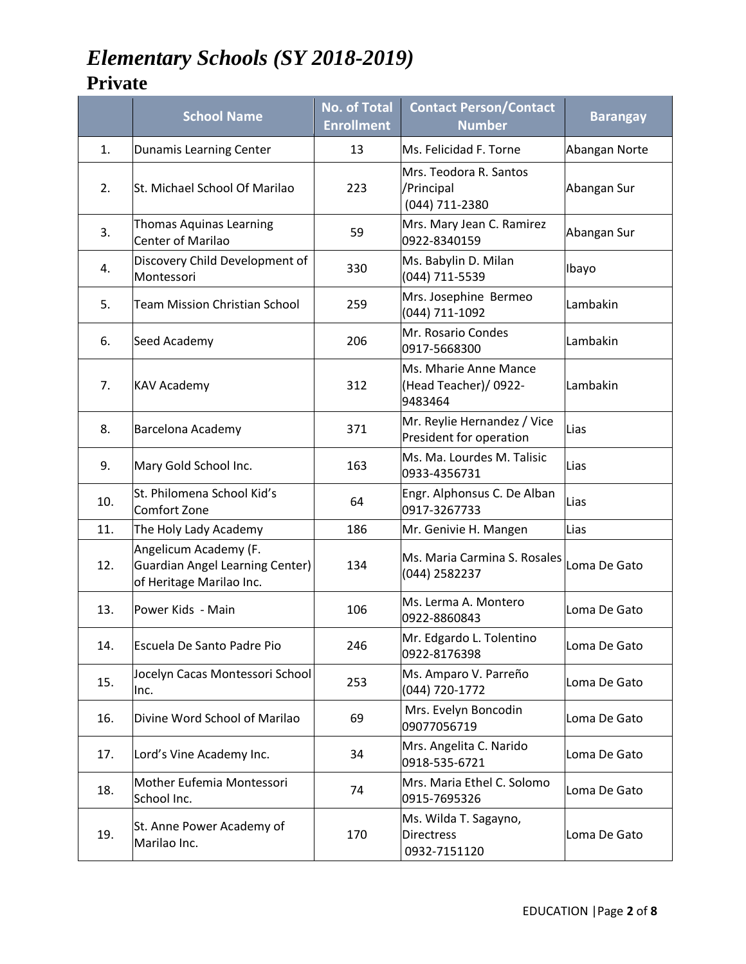# *Elementary Schools (SY 2018-2019)*

#### **Private**

|     | <b>School Name</b>                                                                          | <b>No. of Total</b><br><b>Enrollment</b> | <b>Contact Person/Contact</b><br><b>Number</b>             | <b>Barangay</b> |
|-----|---------------------------------------------------------------------------------------------|------------------------------------------|------------------------------------------------------------|-----------------|
| 1.  | Dunamis Learning Center                                                                     | 13                                       | Ms. Felicidad F. Torne                                     | Abangan Norte   |
| 2.  | St. Michael School Of Marilao                                                               | 223                                      | Mrs. Teodora R. Santos<br>/Principal<br>(044) 711-2380     | Abangan Sur     |
| 3.  | <b>Thomas Aquinas Learning</b><br><b>Center of Marilao</b>                                  | 59                                       | Mrs. Mary Jean C. Ramirez<br>0922-8340159                  | Abangan Sur     |
| 4.  | Discovery Child Development of<br>Montessori                                                | 330                                      | Ms. Babylin D. Milan<br>(044) 711-5539                     | Ibayo           |
| 5.  | <b>Team Mission Christian School</b>                                                        | 259                                      | Mrs. Josephine Bermeo<br>(044) 711-1092                    | Lambakin        |
| 6.  | Seed Academy                                                                                | 206                                      | Mr. Rosario Condes<br>0917-5668300                         | Lambakin        |
| 7.  | <b>KAV Academy</b>                                                                          | 312                                      | Ms. Mharie Anne Mance<br>(Head Teacher)/ 0922-<br>9483464  | Lambakin        |
| 8.  | Barcelona Academy                                                                           | 371                                      | Mr. Reylie Hernandez / Vice<br>President for operation     | Lias            |
| 9.  | Mary Gold School Inc.                                                                       | 163                                      | Ms. Ma. Lourdes M. Talisic<br>0933-4356731                 | Lias            |
| 10. | St. Philomena School Kid's<br>Comfort Zone                                                  | 64                                       | Engr. Alphonsus C. De Alban<br>0917-3267733                | Lias            |
| 11. | The Holy Lady Academy                                                                       | 186                                      | Mr. Genivie H. Mangen                                      | Lias            |
| 12. | Angelicum Academy (F.<br><b>Guardian Angel Learning Center)</b><br>of Heritage Marilao Inc. | 134                                      | Ms. Maria Carmina S. Rosales<br>(044) 2582237              | Loma De Gato    |
| 13. | Power Kids - Main                                                                           | 106                                      | Ms. Lerma A. Montero<br>0922-8860843                       | Loma De Gato    |
| 14. | Escuela De Santo Padre Pio                                                                  | 246                                      | Mr. Edgardo L. Tolentino<br>0922-8176398                   | Loma De Gato    |
| 15. | Jocelyn Cacas Montessori School<br>Inc.                                                     | 253                                      | Ms. Amparo V. Parreño<br>(044) 720-1772                    | Loma De Gato    |
| 16. | Divine Word School of Marilao                                                               | 69                                       | Mrs. Evelyn Boncodin<br>09077056719                        | Loma De Gato    |
| 17. | Lord's Vine Academy Inc.                                                                    | 34                                       | Mrs. Angelita C. Narido<br>0918-535-6721                   | Loma De Gato    |
| 18. | Mother Eufemia Montessori<br>School Inc.                                                    | 74                                       | Mrs. Maria Ethel C. Solomo<br>0915-7695326                 | Loma De Gato    |
| 19. | St. Anne Power Academy of<br>Marilao Inc.                                                   | 170                                      | Ms. Wilda T. Sagayno,<br><b>Directress</b><br>0932-7151120 | Loma De Gato    |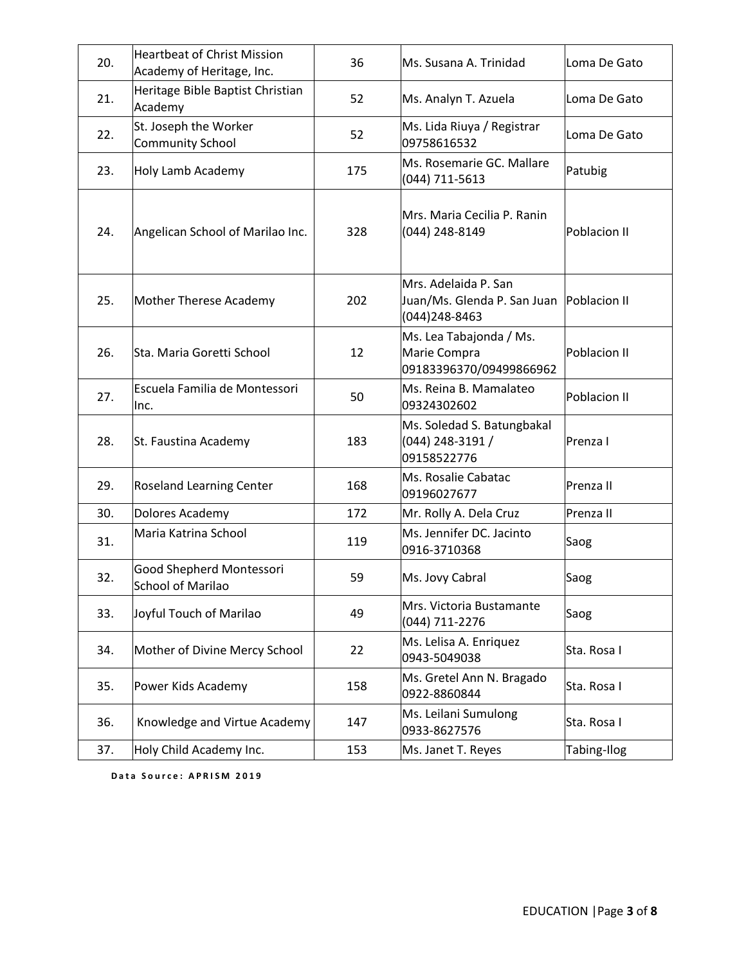| 20. | <b>Heartbeat of Christ Mission</b><br>Academy of Heritage, Inc. | 36  | Ms. Susana A. Trinidad<br>Loma De Gato                                              |              |
|-----|-----------------------------------------------------------------|-----|-------------------------------------------------------------------------------------|--------------|
| 21. | Heritage Bible Baptist Christian<br>Academy                     | 52  | Ms. Analyn T. Azuela                                                                | Loma De Gato |
| 22. | St. Joseph the Worker<br><b>Community School</b>                | 52  | Ms. Lida Riuya / Registrar<br>09758616532                                           | Loma De Gato |
| 23. | Holy Lamb Academy                                               | 175 | Ms. Rosemarie GC. Mallare<br>(044) 711-5613                                         | Patubig      |
| 24. | Angelican School of Marilao Inc.                                | 328 | Mrs. Maria Cecilia P. Ranin<br>(044) 248-8149                                       | Poblacion II |
| 25. | Mother Therese Academy                                          | 202 | Mrs. Adelaida P. San<br>Juan/Ms. Glenda P. San Juan   Poblacion II<br>(044)248-8463 |              |
| 26. | Sta. Maria Goretti School                                       | 12  | Ms. Lea Tabajonda / Ms.<br>Marie Compra<br>09183396370/09499866962                  | Poblacion II |
| 27. | Escuela Familia de Montessori<br>Inc.                           | 50  | Ms. Reina B. Mamalateo<br>09324302602                                               | Poblacion II |
| 28. | St. Faustina Academy                                            | 183 | Ms. Soledad S. Batungbakal<br>(044) 248-3191 /<br>09158522776                       | Prenza I     |
| 29. | Roseland Learning Center                                        | 168 | Ms. Rosalie Cabatac<br>09196027677                                                  | Prenza II    |
| 30. | Dolores Academy                                                 | 172 | Mr. Rolly A. Dela Cruz                                                              | Prenza II    |
| 31. | Maria Katrina School                                            | 119 | Ms. Jennifer DC. Jacinto<br>0916-3710368                                            | Saog         |
| 32. | Good Shepherd Montessori<br><b>School of Marilao</b>            | 59  | Ms. Jovy Cabral                                                                     | Saog         |
| 33. | Joyful Touch of Marilao                                         | 49  | Mrs. Victoria Bustamante<br>Saog<br>(044) 711-2276                                  |              |
| 34. | Mother of Divine Mercy School                                   | 22  | Ms. Lelisa A. Enriquez<br>0943-5049038                                              | Sta. Rosa I  |
| 35. | Power Kids Academy                                              | 158 | Ms. Gretel Ann N. Bragado<br>0922-8860844                                           | Sta. Rosa I  |
| 36. | Knowledge and Virtue Academy                                    | 147 | Ms. Leilani Sumulong<br>0933-8627576                                                | Sta. Rosa I  |
| 37. | Holy Child Academy Inc.                                         | 153 | Ms. Janet T. Reyes                                                                  | Tabing-Ilog  |

Data Source: APRISM 2019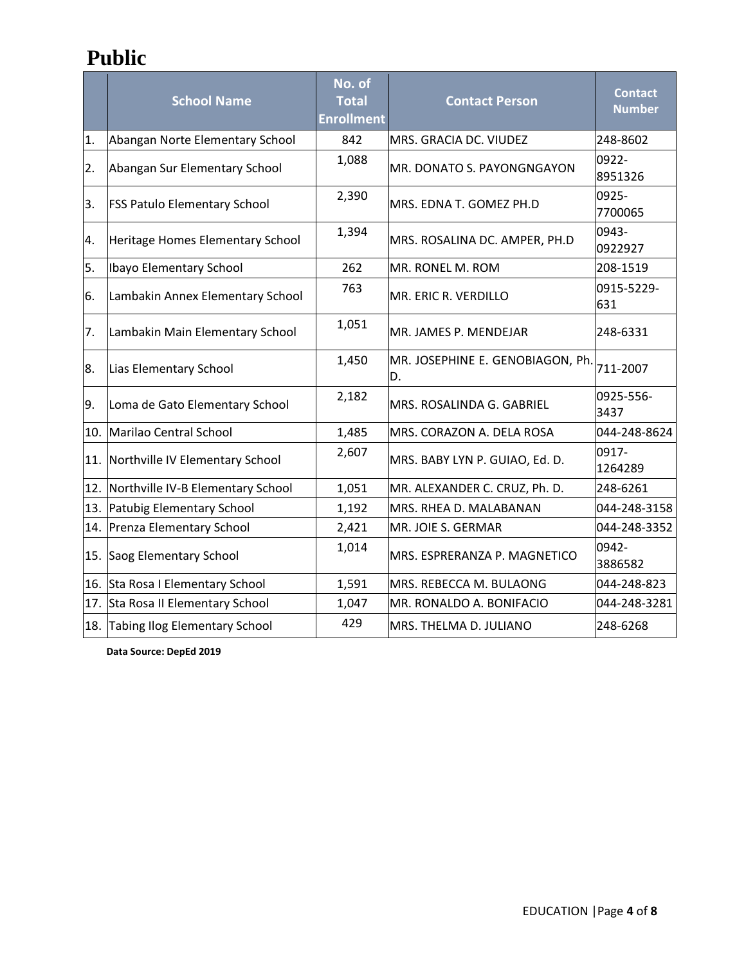### **Public**

|     | <b>School Name</b>                  | No. of<br><b>Total</b><br><b>Enrollment</b> | <b>Contact Person</b>                  | <b>Contact</b><br><b>Number</b> |
|-----|-------------------------------------|---------------------------------------------|----------------------------------------|---------------------------------|
| 1.  | Abangan Norte Elementary School     | 842                                         | MRS. GRACIA DC. VIUDEZ                 | 248-8602                        |
| 2.  | Abangan Sur Elementary School       | 1,088                                       | MR. DONATO S. PAYONGNGAYON             | 0922-<br>8951326                |
| 3.  | <b>FSS Patulo Elementary School</b> | 2,390                                       | MRS. EDNA T. GOMEZ PH.D                | 0925-<br>7700065                |
| 4.  | Heritage Homes Elementary School    | 1,394                                       | MRS. ROSALINA DC. AMPER, PH.D          | 0943-<br>0922927                |
| 5.  | Ibayo Elementary School             | 262                                         | MR. RONEL M. ROM                       | 208-1519                        |
| 6.  | Lambakin Annex Elementary School    | 763                                         | MR. ERIC R. VERDILLO                   | 0915-5229-<br>631               |
| 7.  | Lambakin Main Elementary School     | 1,051                                       | MR. JAMES P. MENDEJAR                  | 248-6331                        |
| 8.  | Lias Elementary School              | 1,450                                       | MR. JOSEPHINE E. GENOBIAGON, Ph.<br>D. | 711-2007                        |
| 9.  | Loma de Gato Elementary School      | 2,182                                       | MRS. ROSALINDA G. GABRIEL              | 0925-556-<br>3437               |
|     | 10. Marilao Central School          | 1,485                                       | MRS. CORAZON A. DELA ROSA              | 044-248-8624                    |
| 11. | Northville IV Elementary School     | 2,607                                       | MRS. BABY LYN P. GUIAO, Ed. D.         | 0917-<br>1264289                |
| 12. | Northville IV-B Elementary School   | 1,051                                       | MR. ALEXANDER C. CRUZ, Ph. D.          | 248-6261                        |
| 13. | Patubig Elementary School           | 1,192                                       | MRS. RHEA D. MALABANAN                 | 044-248-3158                    |
|     | 14. Prenza Elementary School        | 2,421                                       | MR. JOIE S. GERMAR                     | 044-248-3352                    |
|     | 15. Saog Elementary School          | 1,014                                       | MRS. ESPRERANZA P. MAGNETICO           | 0942-<br>3886582                |
|     | 16. Sta Rosa I Elementary School    | 1,591                                       | MRS. REBECCA M. BULAONG                | 044-248-823                     |
|     | 17. Sta Rosa II Elementary School   | 1,047                                       | MR. RONALDO A. BONIFACIO               | 044-248-3281                    |
|     | 18. Tabing Ilog Elementary School   | 429                                         | MRS. THELMA D. JULIANO                 | 248-6268                        |

 **Data Source: DepEd 2019**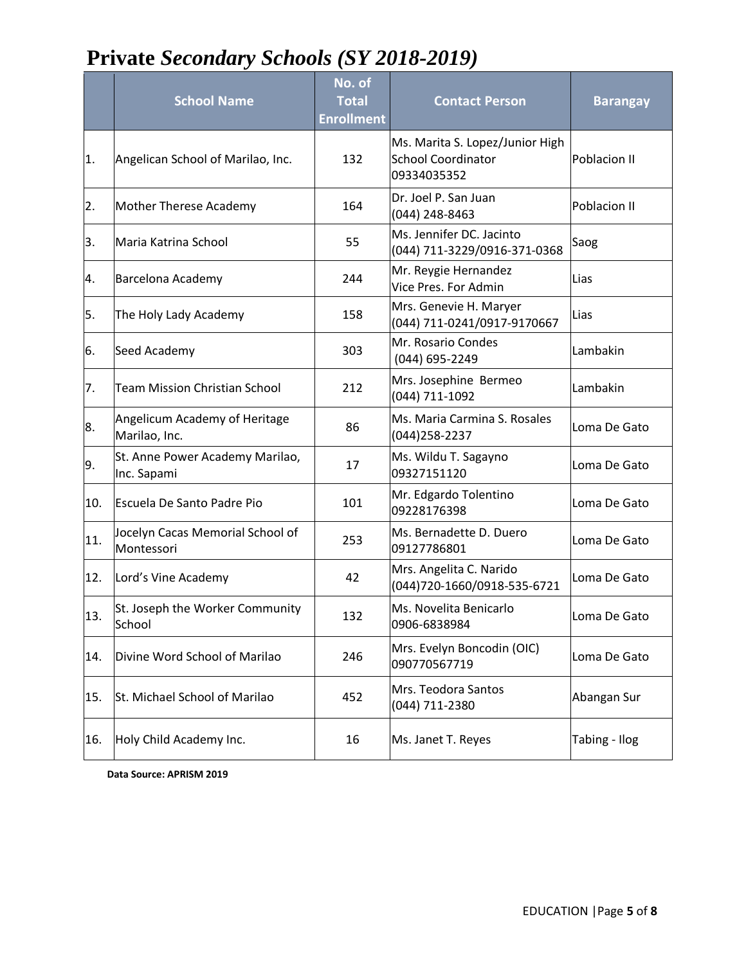## **Private** *Secondary Schools (SY 2018-2019)*

|     | <b>School Name</b>                             | No. of<br><b>Total</b><br><b>Enrollment</b> | <b>Contact Person</b>                                                       | <b>Barangay</b> |
|-----|------------------------------------------------|---------------------------------------------|-----------------------------------------------------------------------------|-----------------|
| 1.  | Angelican School of Marilao, Inc.              | 132                                         | Ms. Marita S. Lopez/Junior High<br><b>School Coordinator</b><br>09334035352 | Poblacion II    |
| 2.  | Mother Therese Academy                         | 164                                         | Dr. Joel P. San Juan<br>(044) 248-8463                                      | Poblacion II    |
| 3.  | Maria Katrina School                           | 55                                          | Ms. Jennifer DC. Jacinto<br>(044) 711-3229/0916-371-0368                    | Saog            |
| 4.  | Barcelona Academy                              | 244                                         | Mr. Reygie Hernandez<br>Vice Pres. For Admin                                | Lias            |
| 5.  | The Holy Lady Academy                          | 158                                         | Mrs. Genevie H. Maryer<br>(044) 711-0241/0917-9170667                       | Lias            |
| 6.  | Seed Academy                                   | 303                                         | Mr. Rosario Condes<br>(044) 695-2249                                        | Lambakin        |
| 7.  | <b>Team Mission Christian School</b>           | 212                                         | Mrs. Josephine Bermeo<br>(044) 711-1092                                     | Lambakin        |
| 8.  | Angelicum Academy of Heritage<br>Marilao, Inc. | 86                                          | Ms. Maria Carmina S. Rosales<br>(044) 258-2237                              | Loma De Gato    |
| 9.  | St. Anne Power Academy Marilao,<br>Inc. Sapami | 17                                          | Ms. Wildu T. Sagayno<br>09327151120                                         | Loma De Gato    |
| 10. | Escuela De Santo Padre Pio                     | 101                                         | Mr. Edgardo Tolentino<br>09228176398                                        | Loma De Gato    |
| 11. | Jocelyn Cacas Memorial School of<br>Montessori | 253                                         | Ms. Bernadette D. Duero<br>09127786801                                      | Loma De Gato    |
| 12. | Lord's Vine Academy                            | 42                                          | Mrs. Angelita C. Narido<br>(044)720-1660/0918-535-6721                      | Loma De Gato    |
| 13. | St. Joseph the Worker Community<br>School      | 132                                         | Ms. Novelita Benicarlo<br>0906-6838984                                      | Loma De Gato    |
| 14. | Divine Word School of Marilao                  | 246                                         | Mrs. Evelyn Boncodin (OIC)<br>090770567719                                  | Loma De Gato    |
| 15. | St. Michael School of Marilao                  | 452                                         | Mrs. Teodora Santos<br>(044) 711-2380                                       | Abangan Sur     |
| 16. | Holy Child Academy Inc.                        | 16                                          | Ms. Janet T. Reyes                                                          | Tabing - Ilog   |

**Data Source: APRISM 2019**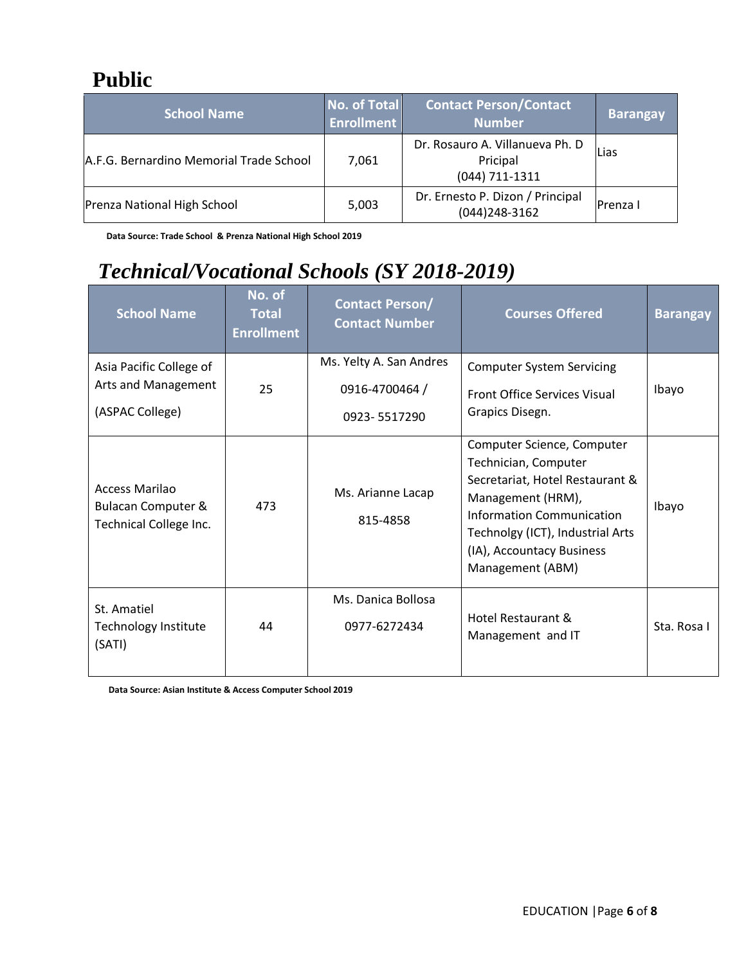#### **Public**

| <b>School Name</b>                      | No. of Total<br><b>Enrollment</b> | <b>Contact Person/Contact</b><br><b>Number</b>                | <b>Barangay</b> |
|-----------------------------------------|-----------------------------------|---------------------------------------------------------------|-----------------|
| A.F.G. Bernardino Memorial Trade School | 7,061                             | Dr. Rosauro A. Villanueva Ph. D<br>Pricipal<br>(044) 711-1311 | Lias            |
| Prenza National High School             | 5,003                             | Dr. Ernesto P. Dizon / Principal<br>(044) 248-3162            | <b>Prenza I</b> |

 **Data Source: Trade School & Prenza National High School 2019** 

## *Technical/Vocational Schools (SY 2018-2019)*

| <b>School Name</b>                                                               | No. of<br><b>Total</b><br><b>Enrollment</b> | <b>Contact Person/</b><br><b>Contact Number</b>           | <b>Courses Offered</b>                                                                                                                                                                                                       | <b>Barangay</b> |
|----------------------------------------------------------------------------------|---------------------------------------------|-----------------------------------------------------------|------------------------------------------------------------------------------------------------------------------------------------------------------------------------------------------------------------------------------|-----------------|
| Asia Pacific College of<br>Arts and Management<br>(ASPAC College)                | 25                                          | Ms. Yelty A. San Andres<br>0916-4700464 /<br>0923-5517290 | <b>Computer System Servicing</b><br><b>Front Office Services Visual</b><br>Grapics Disegn.                                                                                                                                   | Ibayo           |
| <b>Access Marilao</b><br><b>Bulacan Computer &amp;</b><br>Technical College Inc. | 473                                         | Ms. Arianne Lacap<br>815-4858                             | Computer Science, Computer<br>Technician, Computer<br>Secretariat, Hotel Restaurant &<br>Management (HRM),<br>Information Communication<br>Technolgy (ICT), Industrial Arts<br>(IA), Accountacy Business<br>Management (ABM) | Ibayo           |
| St. Amatiel<br>Technology Institute<br>(SATI)                                    | 44                                          | Ms. Danica Bollosa<br>0977-6272434                        | Hotel Restaurant &<br>Management and IT                                                                                                                                                                                      | Sta. Rosa I     |

 **Data Source: Asian Institute & Access Computer School 2019**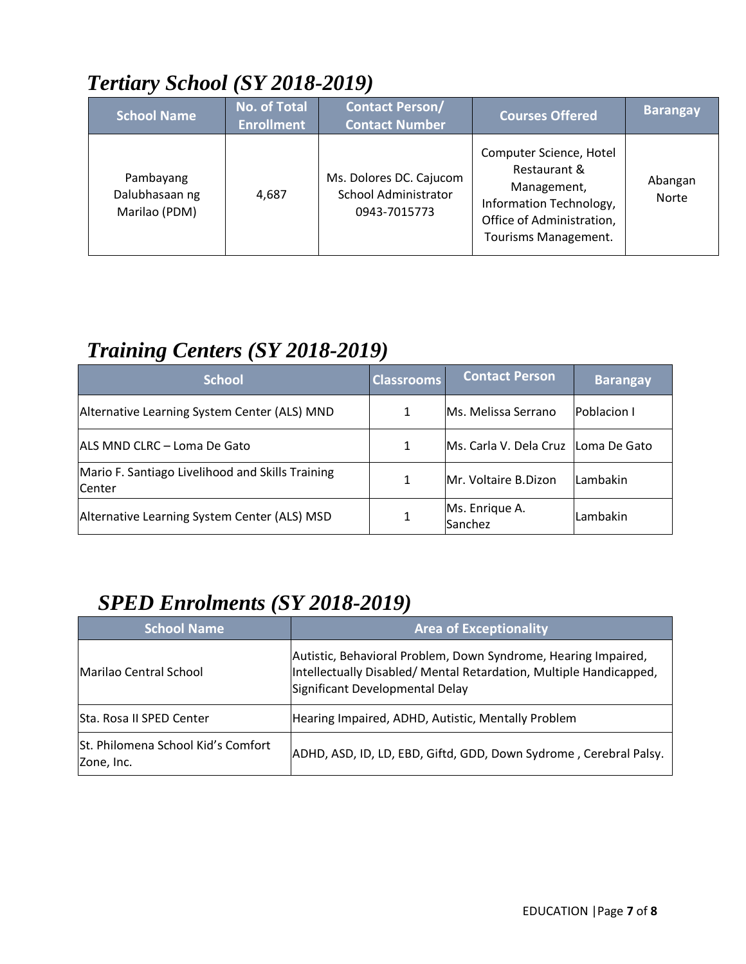# *Tertiary School (SY 2018-2019)*

| <b>School Name</b>                           | <b>No. of Total</b><br><b>Enrollment</b> | <b>Contact Person/</b><br><b>Contact Number</b>                 | <b>Courses Offered</b>                                                                                                                 | <b>Barangay</b>         |
|----------------------------------------------|------------------------------------------|-----------------------------------------------------------------|----------------------------------------------------------------------------------------------------------------------------------------|-------------------------|
| Pambayang<br>Dalubhasaan ng<br>Marilao (PDM) | 4,687                                    | Ms. Dolores DC. Cajucom<br>School Administrator<br>0943-7015773 | Computer Science, Hotel<br>Restaurant &<br>Management,<br>Information Technology,<br>Office of Administration,<br>Tourisms Management. | Abangan<br><b>Norte</b> |

### *Training Centers (SY 2018-2019)*

| <b>School</b>                                              | <b>Classrooms</b> | <b>Contact Person</b>                 | <b>Barangay</b>    |
|------------------------------------------------------------|-------------------|---------------------------------------|--------------------|
| Alternative Learning System Center (ALS) MND               |                   | Ms. Melissa Serrano                   | <b>Poblacion I</b> |
| ALS MND CLRC - Loma De Gato                                |                   | Ms. Carla V. Dela Cruz   Loma De Gato |                    |
| Mario F. Santiago Livelihood and Skills Training<br>Center |                   | Mr. Voltaire B.Dizon                  | Lambakin           |
| Alternative Learning System Center (ALS) MSD               |                   | Ms. Enrique A.<br>Sanchez             | Lambakin           |

# *SPED Enrolments (SY 2018-2019)*

| <b>School Name</b>                               | <b>Area of Exceptionality</b>                                                                                                                                           |  |
|--------------------------------------------------|-------------------------------------------------------------------------------------------------------------------------------------------------------------------------|--|
| <b>Marilao Central School</b>                    | Autistic, Behavioral Problem, Down Syndrome, Hearing Impaired,<br>Intellectually Disabled/ Mental Retardation, Multiple Handicapped,<br>Significant Developmental Delay |  |
| Sta. Rosa II SPED Center                         | Hearing Impaired, ADHD, Autistic, Mentally Problem                                                                                                                      |  |
| St. Philomena School Kid's Comfort<br>Zone, Inc. | ADHD, ASD, ID, LD, EBD, Giftd, GDD, Down Sydrome, Cerebral Palsy.                                                                                                       |  |